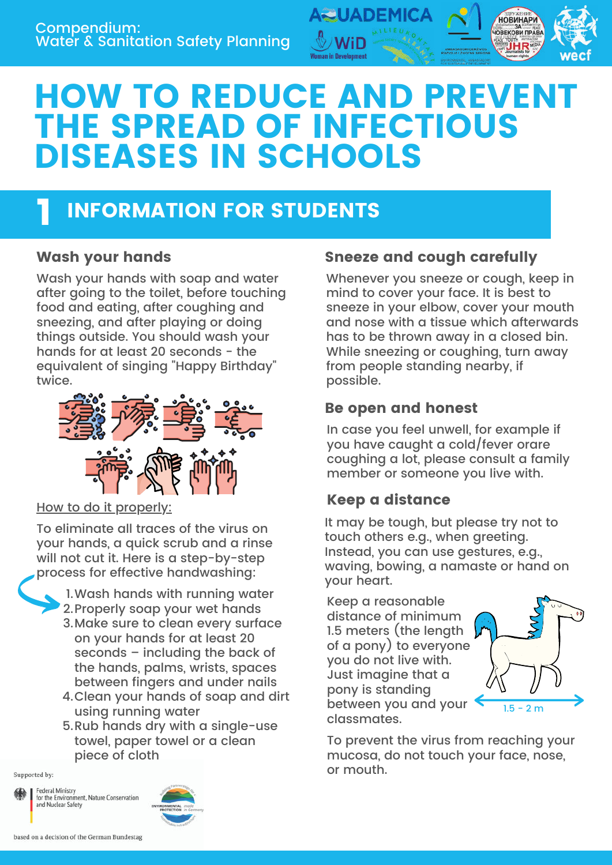

# HOW TO REDUCE AND PREVENT THE SPREAD OF INFECTIOUS DISEASES IN SCHOOLS

# INFORMATION FOR STUDENTS 1

Wash your hands with soap and water after going to the toilet, before touching food and eating, after coughing and sneezing, and after playing or doing things outside. You should wash your hands for at least 20 seconds - the equivalent of singing "Happy Birthday" twice.



How to do it properly:

To eliminate all traces of the virus on your hands, a quick scrub and a rinse will not cut it. Here is a step-by-step process for effective handwashing:



- 3.Make sure to clean every surface on your hands for at least 20 seconds – including the back of the hands, palms, wrists, spaces between fingers and under nails
- Clean your hands of soap and dirt 4. using running water
- 5.Rub hands dry with a single-use towel, paper towel or a clean piece of cloth

Supported by:

Federal Ministry for the Environmer<br>and Nuclear Safety nent, Nature Conservation



### Wash your hands **Sneeze and cough carefully**

Whenever you sneeze or cough, keep in mind to cover your face. It is best to sneeze in your elbow, cover your mouth and nose with a tissue which afterwards has to be thrown away in a closed bin. While sneezing or coughing, turn away from people standing nearby, if possible.

#### Be open and honest

In case you feel unwell, for example if you have caught a cold/fever orare coughing a lot, please consult a family member or someone you live with.

### Keep a distance

It may be tough, but please try not to touch others e.g., when greeting. Instead, you can use gestures, e.g., waving, bowing, a namaste or hand on your heart.

Keep a reasonable distance of minimum 1.5 meters (the length of a pony) to everyone you do not live with. Just imagine that a pony is standing between you and your classmates.



To prevent the virus from reaching your mucosa, do not touch your face, nose, or mouth.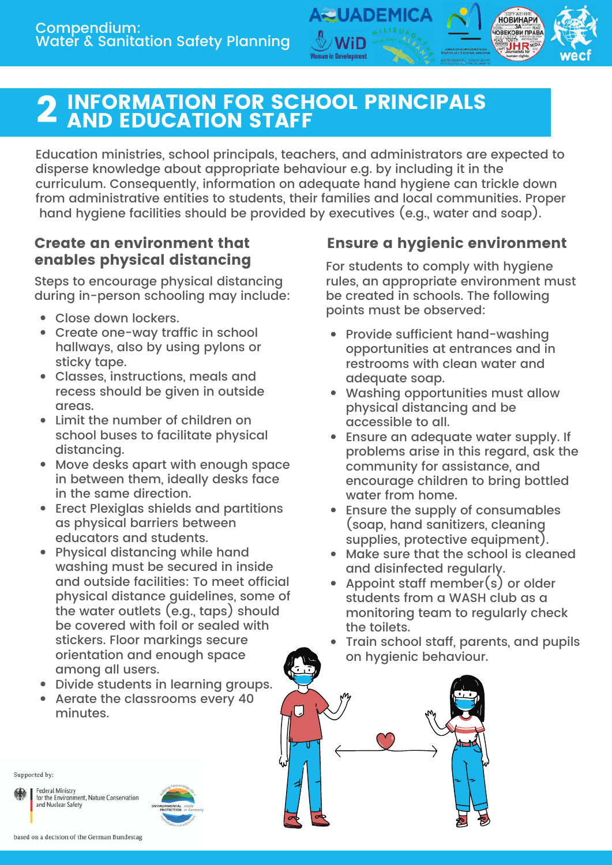

Education ministries, school principals, teachers, and administrators are expected to disperse knowledge about appropriate behaviour e.g. by including it in the curriculum. Consequently, information on adequate hand hygiene can trickle down from administrative entities to students, their families and local communities. Proper hand hygiene facilities should be provided by executives (e.g., water and soap).

UADEMI

#### Create an environment that enables physical distancing

Steps to encourage physical distancing during in-person schooling may include:

- Close down lockers.
- Create one-way traffic in school hallways, also by using pylons or sticky tape.
- Classes, instructions, meals and recess should be given in outside areas.
- Limit the number of children on school buses to facilitate physical distancing.
- Move desks apart with enough space in between them, ideally desks face in the same direction.
- Erect Plexiglas shields and partitions as physical barriers between educators and students.
- Physical distancing while hand washing must be secured in inside and outside facilities: To meet official physical distance guidelines, some of the water outlets (e.g., taps) should be covered with foil or sealed with stickers. Floor markings secure orientation and enough space among all users.
- Divide students in learning groups.
- Aerate the classrooms every 40 minutes.

#### Ensure a hygienic environment

**НОВИНАРИ IOBEKOBI TIPABA** 

For students to comply with hygiene rules, an appropriate environment must be created in schools. The following points must be observed:

- Provide sufficient hand-washing opportunities at entrances and in restrooms with clean water and adequate soap.
- Washing opportunities must allow physical distancing and be accessible to all.
- Ensure an adequate water supply. If problems arise in this regard, ask the community for assistance, and encourage children to bring bottled water from home.
- Ensure the supply of consumables (soap, hand sanitizers, cleaning supplies, protective equipment).
- Make sure that the school is cleaned and disinfected regularly.
- Appoint staff member(s) or older students from a WASH club as a monitoring team to regularly check the toilets.
- Train school staff, parents, and pupils on hygienic behaviour.



Supported by:

Federal Ministry for the Environ ment. Nature Conservation and Nuclear Safety